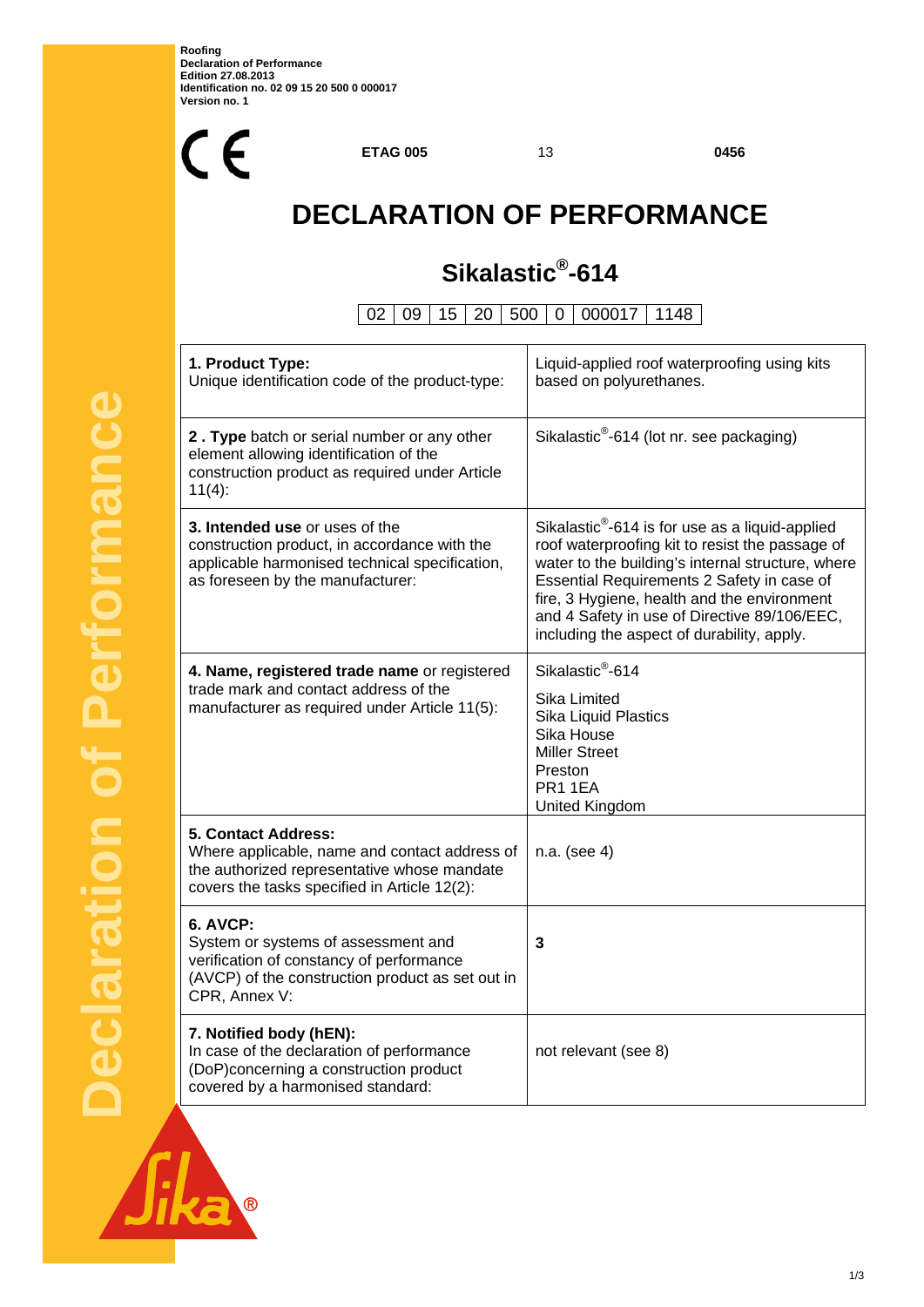

**ETAG 005** 13 **0456**

# **DECLARATION OF PERFORMANCE**

## **Sikalastic®-614**

02 09 15 20 500 0 000017 1148

| 1. Product Type:<br>Unique identification code of the product-type:                                                                                                     | Liquid-applied roof waterproofing using kits<br>based on polyurethanes.                                                                                                                                                                                                                                                                                        |  |
|-------------------------------------------------------------------------------------------------------------------------------------------------------------------------|----------------------------------------------------------------------------------------------------------------------------------------------------------------------------------------------------------------------------------------------------------------------------------------------------------------------------------------------------------------|--|
| 2. Type batch or serial number or any other<br>element allowing identification of the<br>construction product as required under Article<br>$11(4)$ :                    | Sikalastic <sup>®</sup> -614 (lot nr. see packaging)                                                                                                                                                                                                                                                                                                           |  |
| 3. Intended use or uses of the<br>construction product, in accordance with the<br>applicable harmonised technical specification,<br>as foreseen by the manufacturer:    | Sikalastic <sup>®</sup> -614 is for use as a liquid-applied<br>roof waterproofing kit to resist the passage of<br>water to the building's internal structure, where<br>Essential Requirements 2 Safety in case of<br>fire, 3 Hygiene, health and the environment<br>and 4 Safety in use of Directive 89/106/EEC,<br>including the aspect of durability, apply. |  |
| 4. Name, registered trade name or registered<br>trade mark and contact address of the<br>manufacturer as required under Article 11(5):                                  | Sikalastic <sup>®</sup> -614<br>Sika Limited<br>Sika Liquid Plastics<br>Sika House<br><b>Miller Street</b><br>Preston<br>PR1 1EA<br>United Kingdom                                                                                                                                                                                                             |  |
| 5. Contact Address:<br>Where applicable, name and contact address of<br>the authorized representative whose mandate<br>covers the tasks specified in Article 12(2):     | n.a. (see 4)                                                                                                                                                                                                                                                                                                                                                   |  |
| <b>6. AVCP:</b><br>System or systems of assessment and<br>verification of constancy of performance<br>(AVCP) of the construction product as set out in<br>CPR, Annex V: | 3                                                                                                                                                                                                                                                                                                                                                              |  |
| 7. Notified body (hEN):<br>In case of the declaration of performance<br>(DoP)concerning a construction product<br>covered by a harmonised standard:                     | not relevant (see 8)                                                                                                                                                                                                                                                                                                                                           |  |

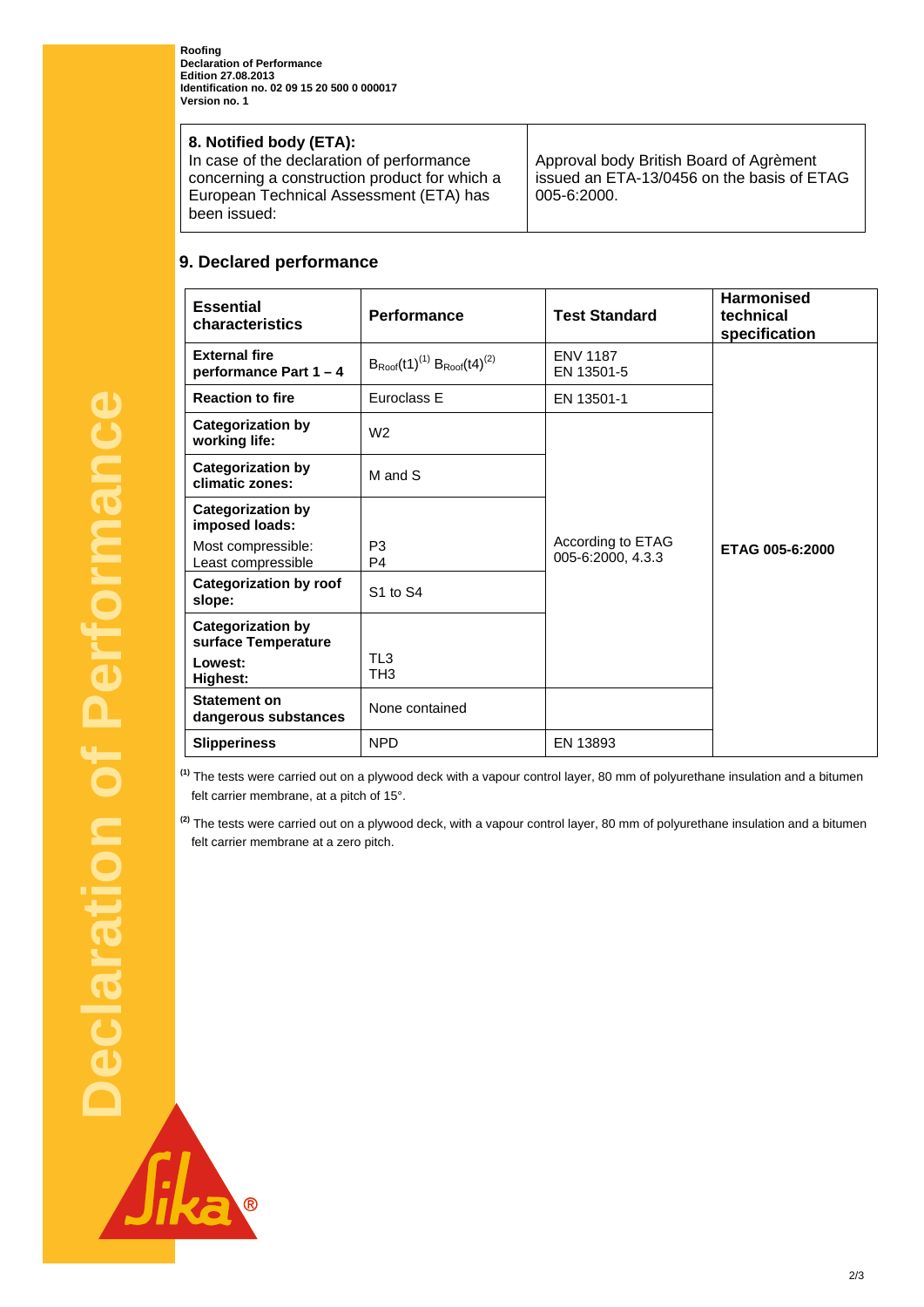**Roofing Declaration of Performance Edition 27.08.2013 Identification no. 02 09 15 20 500 0 000017 Version no. 1** 

#### **8. Notified body (ETA):**

In case of the declaration of performance concerning a construction product for which a European Technical Assessment (ETA) has been issued:

Approval body British Board of Agrèment issued an ETA-13/0456 on the basis of ETAG 005-6:2000.

## **9. Declared performance**

| <b>Essential</b><br>characteristics             | <b>Performance</b>                      | <b>Test Standard</b>                   | <b>Harmonised</b><br>technical<br>specification |
|-------------------------------------------------|-----------------------------------------|----------------------------------------|-------------------------------------------------|
| <b>External fire</b><br>performance Part 1-4    | $B_{Root}(t1)^{(1)} B_{Root}(t4)^{(2)}$ | <b>ENV 1187</b><br>EN 13501-5          |                                                 |
| <b>Reaction to fire</b>                         | Euroclass E                             | EN 13501-1                             |                                                 |
| <b>Categorization by</b><br>working life:       | W <sub>2</sub>                          |                                        |                                                 |
| <b>Categorization by</b><br>climatic zones:     | M and S                                 |                                        |                                                 |
| <b>Categorization by</b><br>imposed loads:      |                                         |                                        |                                                 |
| Most compressible:<br>Least compressible        | P <sub>3</sub><br>P <sub>4</sub>        | According to ETAG<br>005-6:2000, 4.3.3 | ETAG 005-6:2000                                 |
| <b>Categorization by roof</b><br>slope:         | <b>S1 to S4</b>                         |                                        |                                                 |
| <b>Categorization by</b><br>surface Temperature |                                         |                                        |                                                 |
| Lowest:<br><b>Highest:</b>                      | TL <sub>3</sub><br>TH <sub>3</sub>      |                                        |                                                 |
| <b>Statement on</b><br>dangerous substances     | None contained                          |                                        |                                                 |
| <b>Slipperiness</b>                             | <b>NPD</b>                              | EN 13893                               |                                                 |

**(1)** The tests were carried out on a plywood deck with a vapour control layer, 80 mm of polyurethane insulation and a bitumen felt carrier membrane, at a pitch of 15°.

**(2)** The tests were carried out on a plywood deck, with a vapour control layer, 80 mm of polyurethane insulation and a bitumen felt carrier membrane at a zero pitch.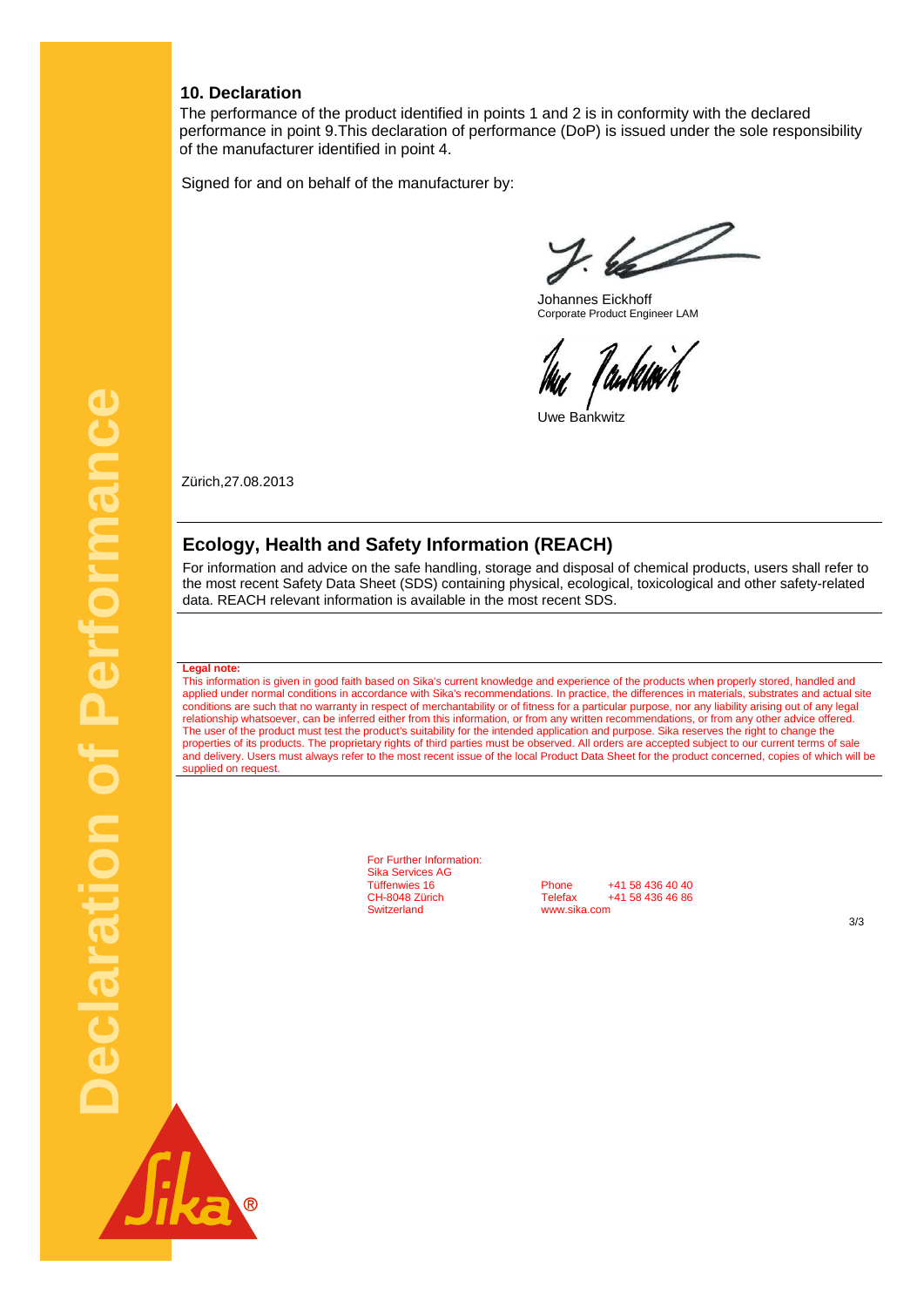#### **10. Declaration**

The performance of the product identified in points 1 and 2 is in conformity with the declared performance in point 9.This declaration of performance (DoP) is issued under the sole responsibility of the manufacturer identified in point 4.

Signed for and on behalf of the manufacturer by:

 $7.62$ 

 Johannes Eickhoff Corporate Product Engineer LAM

Tankhov k

Uwe Bankwitz

Zürich,27.08.2013

#### **Ecology, Health and Safety Information (REACH)**

For information and advice on the safe handling, storage and disposal of chemical products, users shall refer to the most recent Safety Data Sheet (SDS) containing physical, ecological, toxicological and other safety-related data. REACH relevant information is available in the most recent SDS.

#### **Legal note:**

This information is given in good faith based on Sika's current knowledge and experience of the products when properly stored, handled and applied under normal conditions in accordance with Sika's recommendations. In practice, the differences in materials, substrates and actual site conditions are such that no warranty in respect of merchantability or of fitness for a particular purpose, nor any liability arising out of any legal relationship whatsoever, can be inferred either from this information, or from any written recommendations, or from any other advice offered. The user of the product must test the product's suitability for the intended application and purpose. Sika reserves the right to change the properties of its products. The proprietary rights of third parties must be observed. All orders are accepted subject to our current terms of sale and delivery. Users must always refer to the most recent issue of the local Product Data Sheet for the product concerned, copies of which will be supplied on request

> For Further Information: Sika Services AG

Tüffenwies 16 **Phone** +41 58 436 40 40<br>CH-8048 Zürich **Felefax** +41 58 436 46 86 CH-8048 Zürich Telefax +41 58 436 46 86<br>Switzerland www.sika.com www.sika.com

3/3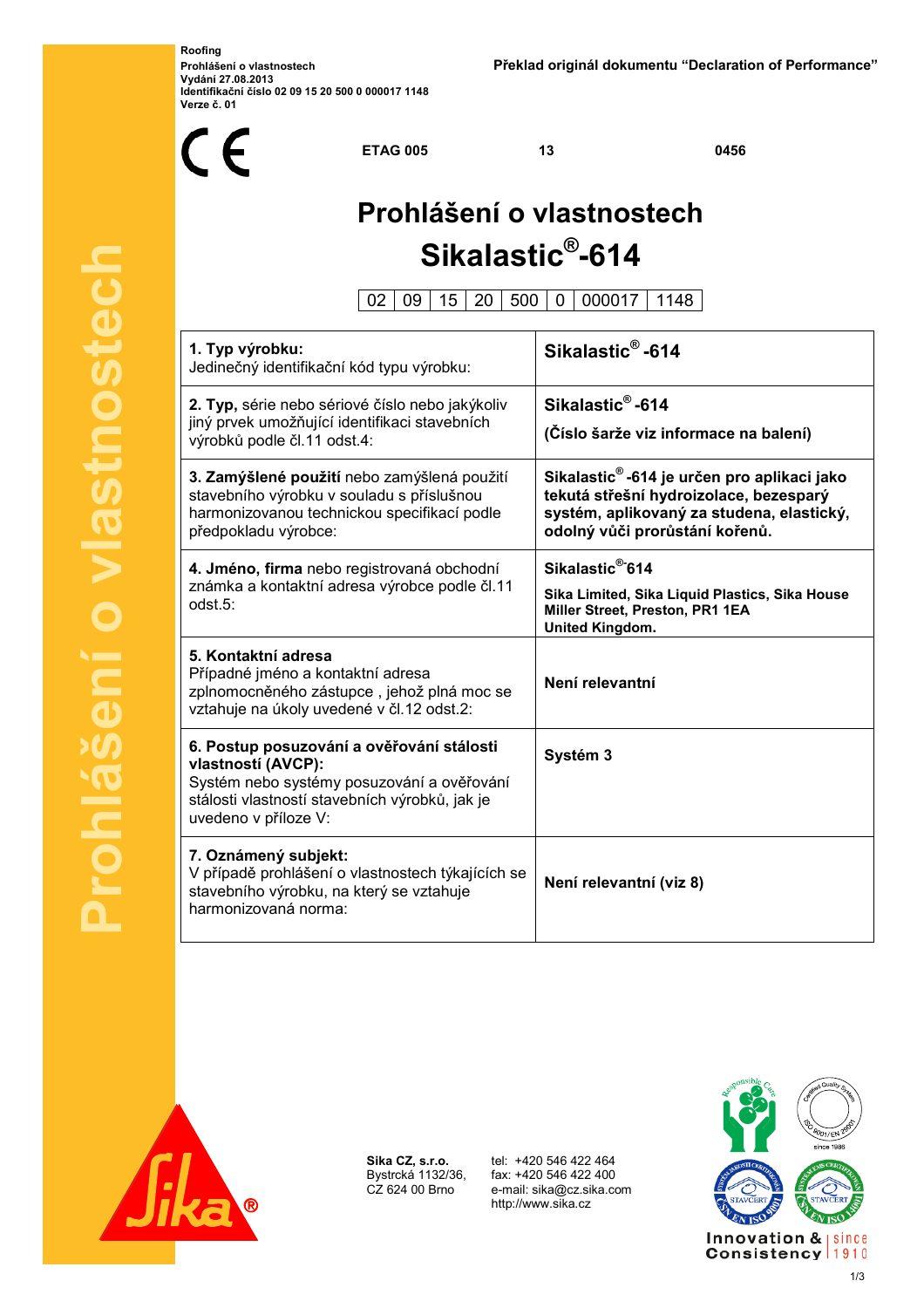**Roofing Vydání 27.08.2013 Identifikační číslo 02 09 15 20 500 0 000017 1148 Verze č. 01** 



**Prohlášení o vlastnostech** vlastnostech E  $\mathbf{d}'$ 

**ETAG 005** 13 0456

# **Prohlášení o vlastnostech Sikalastic® -614**

02 09 15 20 500 0 000017 1148

| 1. Typ výrobku:<br>Jedinečný identifikační kód typu výrobku:                                                                                                                            | Sikalastic <sup>®</sup> -614                                                                                                                                                     |
|-----------------------------------------------------------------------------------------------------------------------------------------------------------------------------------------|----------------------------------------------------------------------------------------------------------------------------------------------------------------------------------|
| 2. Typ, série nebo sériové číslo nebo jakýkoliv<br>jiný prvek umožňující identifikaci stavebních<br>výrobků podle čl.11 odst.4:                                                         | Sikalastic <sup>®</sup> -614<br>(Číslo šarže viz informace na balení)                                                                                                            |
| 3. Zamýšlené použití nebo zamýšlená použití<br>stavebního výrobku v souladu s příslušnou<br>harmonizovanou technickou specifikací podle<br>předpokladu výrobce:                         | Sikalastic <sup>®</sup> -614 je určen pro aplikaci jako<br>tekutá střešní hydroizolace, bezesparý<br>systém, aplikovaný za studena, elastický,<br>odolný vůči prorůstání kořenů. |
| 4. Jméno, firma nebo registrovaná obchodní<br>známka a kontaktní adresa výrobce podle čl.11<br>odst.5:                                                                                  | Sikalastic <sup>®-</sup> 614<br>Sika Limited, Sika Liquid Plastics, Sika House<br>Miller Street, Preston, PR1 1EA<br><b>United Kingdom.</b>                                      |
| 5. Kontaktní adresa<br>Případné jméno a kontaktní adresa<br>zplnomocněného zástupce, jehož plná moc se<br>vztahuje na úkoly uvedené v čl.12 odst.2:                                     | Není relevantní                                                                                                                                                                  |
| 6. Postup posuzování a ověřování stálosti<br>vlastností (AVCP):<br>Systém nebo systémy posuzování a ověřování<br>stálosti vlastností stavebních výrobků, jak je<br>uvedeno v příloze V: | Systém 3                                                                                                                                                                         |
| 7. Oznámený subjekt:<br>V případě prohlášení o vlastnostech týkajících se<br>stavebního výrobku, na který se vztahuje<br>harmonizovaná norma:                                           | Není relevantní (viz 8)                                                                                                                                                          |



**Sika CZ, s.r.o.** Bystrcká 1132/36, CZ 624 00 Brno

 tel: +420 546 422 464 fax: +420 546 422 400 e-mail: sika@cz.sika.com http://www.sika.cz



1/3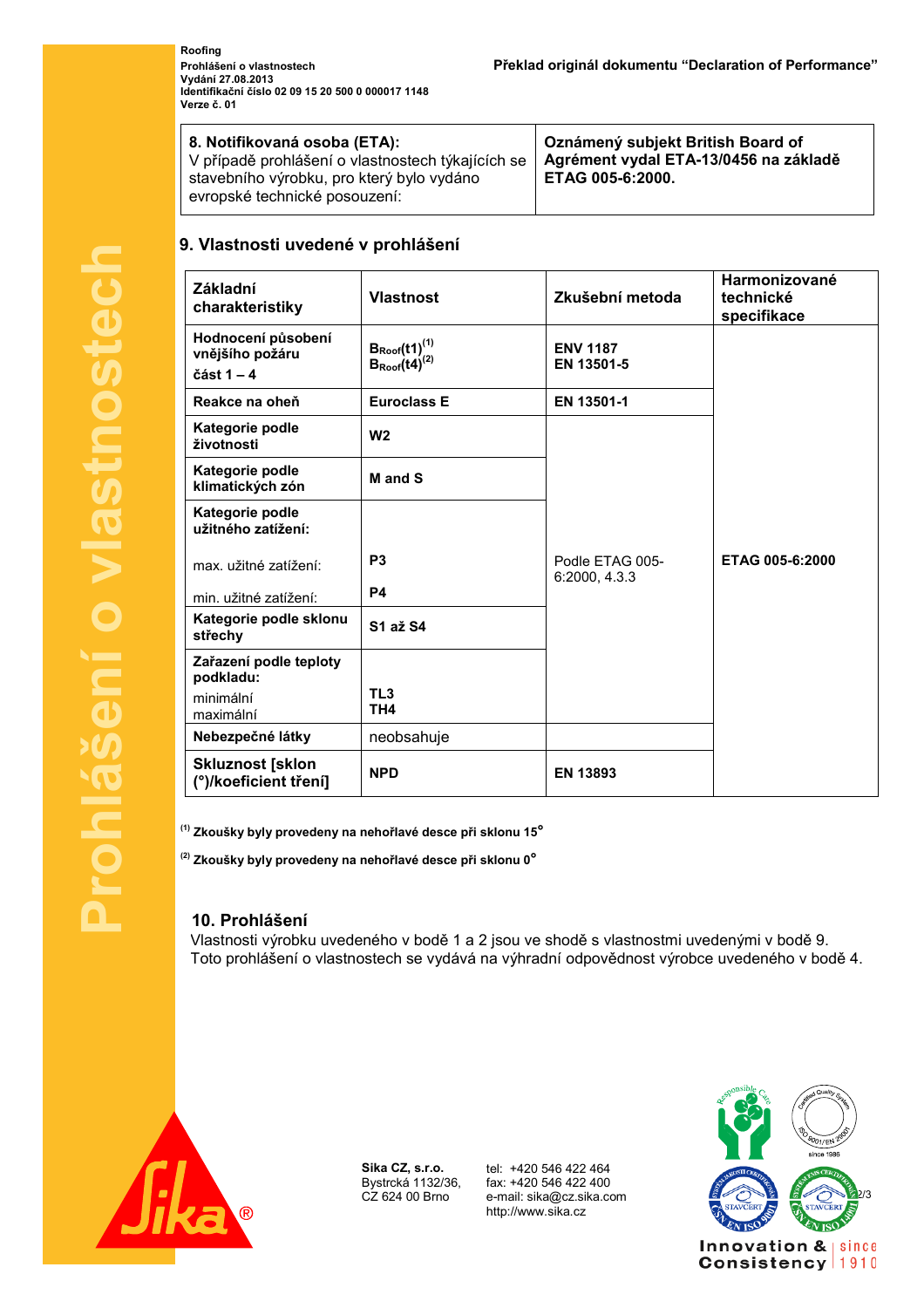**Roofing Vydání 27.08.2013 Identifikační číslo 02 09 15 20 500 0 000017 1148 Verze č. 01** 

| 8. Notifikovaná osoba (ETA):<br>V případě prohlášení o vlastnostech týkajících se<br>stavebního výrobku, pro který bylo vydáno<br>evropské technické posouzení: | Oznámený subjekt British Board of<br>Agrément vydal ETA-13/0456 na základě<br>ETAG 005-6:2000. |
|-----------------------------------------------------------------------------------------------------------------------------------------------------------------|------------------------------------------------------------------------------------------------|
|-----------------------------------------------------------------------------------------------------------------------------------------------------------------|------------------------------------------------------------------------------------------------|

#### **9. Vlastnosti uvedené v prohlášení**

| Základní<br>charakteristiky                           | <b>Vlastnost</b>                                           | Zkušební metoda                  | Harmonizované<br>technické<br>specifikace |
|-------------------------------------------------------|------------------------------------------------------------|----------------------------------|-------------------------------------------|
| Hodnocení působení<br>vnějšího požáru<br>část $1 - 4$ | $B_{\text{Root}}(t1)^{(1)}$<br>$B_{\text{Root}}(t4)^{(2)}$ | <b>ENV 1187</b><br>EN 13501-5    |                                           |
| Reakce na oheň                                        | <b>Euroclass E</b>                                         | EN 13501-1                       |                                           |
| Kategorie podle<br>životnosti                         | W <sub>2</sub>                                             |                                  |                                           |
| Kategorie podle<br>klimatických zón                   | M and S                                                    |                                  |                                           |
| Kategorie podle<br>užitného zatížení:                 |                                                            |                                  |                                           |
| max. užitné zatížení:                                 | P <sub>3</sub>                                             | Podle ETAG 005-<br>6:2000, 4.3.3 | ETAG 005-6:2000                           |
| min. užitné zatížení:                                 | P <sub>4</sub>                                             |                                  |                                           |
| Kategorie podle sklonu<br>střechy                     | S1 až S4                                                   |                                  |                                           |
| Zařazení podle teploty                                |                                                            |                                  |                                           |
| podkladu:<br>minimální<br>maximální                   | TL <sub>3</sub><br>TH <sub>4</sub>                         |                                  |                                           |
| Nebezpečné látky                                      | neobsahuje                                                 |                                  |                                           |
| <b>Skluznost [sklon</b><br>(°)/koeficient tření]      | <b>NPD</b>                                                 | <b>EN 13893</b>                  |                                           |

**(1) Zkoušky byly provedeny na nehořlavé desce při sklonu 15°**

**(2) Zkoušky byly provedeny na nehořlavé desce při sklonu 0°**

#### **10. Prohlášení**

Vlastnosti výrobku uvedeného v bodě 1 a 2 jsou ve shodě s vlastnostmi uvedenými v bodě 9. Toto prohlášení o vlastnostech se vydává na výhradní odpovědnost výrobce uvedeného v bodě 4.



**Sika CZ, s.r.o.** Bystrcká 1132/36, CZ 624 00 Brno

 tel: +420 546 422 464 fax: +420 546 422 400 http://www.sika.cz